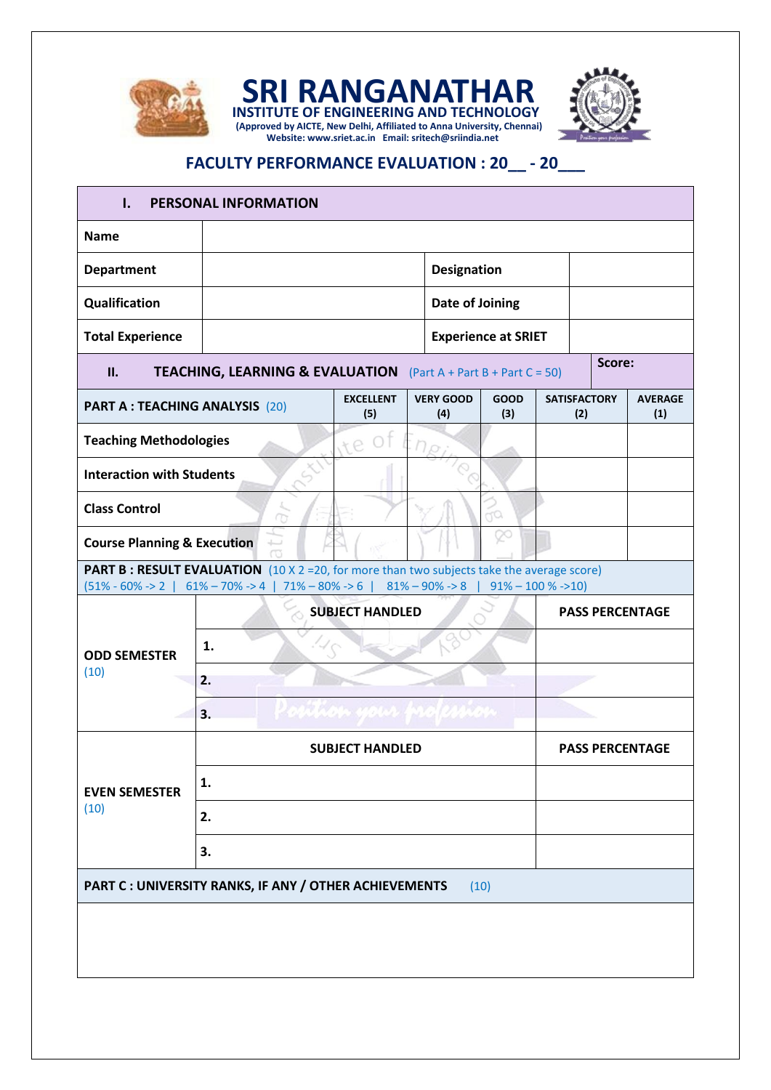

**(Approved by AICTE, New Delhi, Affiliated to Anna University, Chennai) SRI RANGANATHAR INSTITUTE OF ENGINEERING AND TECHNOLOGY Website: www.sriet.ac.in Email: sritech@sriindia.net**



## **FACULTY PERFORMANCE EVALUATION : 20\_\_ - 20\_\_\_**

| ı.                                                                                               | PERSONAL INFORMATION                                                                                                                                                                                           |                         |                             |                     |                            |                        |                       |  |  |  |
|--------------------------------------------------------------------------------------------------|----------------------------------------------------------------------------------------------------------------------------------------------------------------------------------------------------------------|-------------------------|-----------------------------|---------------------|----------------------------|------------------------|-----------------------|--|--|--|
| <b>Name</b>                                                                                      |                                                                                                                                                                                                                |                         |                             |                     |                            |                        |                       |  |  |  |
| <b>Department</b>                                                                                |                                                                                                                                                                                                                |                         |                             | Designation         |                            |                        |                       |  |  |  |
| Qualification                                                                                    |                                                                                                                                                                                                                | Date of Joining         |                             |                     |                            |                        |                       |  |  |  |
| <b>Total Experience</b>                                                                          |                                                                                                                                                                                                                |                         | <b>Experience at SRIET</b>  |                     |                            |                        |                       |  |  |  |
| Score:<br><b>TEACHING, LEARNING &amp; EVALUATION</b><br>II.<br>$(Part A + Part B + Part C = 50)$ |                                                                                                                                                                                                                |                         |                             |                     |                            |                        |                       |  |  |  |
| PART A : TEACHING ANALYSIS (20)                                                                  |                                                                                                                                                                                                                | <b>EXCELLENT</b><br>(5) | <b>VERY GOOD</b><br>(4)     | GOOD<br>(3)         | <b>SATISFACTORY</b><br>(2) |                        | <b>AVERAGE</b><br>(1) |  |  |  |
| <b>Teaching Methodologies</b>                                                                    |                                                                                                                                                                                                                | re.                     |                             |                     |                            |                        |                       |  |  |  |
| <b>Interaction with Students</b>                                                                 |                                                                                                                                                                                                                |                         |                             |                     |                            |                        |                       |  |  |  |
| <b>Class Control</b>                                                                             |                                                                                                                                                                                                                |                         |                             | no                  |                            |                        |                       |  |  |  |
| <b>Course Planning &amp; Execution</b><br>F                                                      |                                                                                                                                                                                                                |                         |                             |                     |                            |                        |                       |  |  |  |
|                                                                                                  | <b>PART B : RESULT EVALUATION</b> $(10 \times 2 = 20)$ , for more than two subjects take the average score)<br>$(51\% - 60\% \rightarrow 2 \mid 61\% - 70\% \rightarrow 4 \mid 71\% - 80\% \rightarrow 6 \mid$ |                         | $81\% - 90\% \rightarrow 8$ | $91\% - 100\% - 10$ |                            |                        |                       |  |  |  |
| <b>ODD SEMESTER</b><br>(10)                                                                      | <b>SUBJECT HANDLED</b>                                                                                                                                                                                         |                         |                             |                     |                            | <b>PASS PERCENTAGE</b> |                       |  |  |  |
|                                                                                                  | 1.                                                                                                                                                                                                             |                         |                             |                     |                            |                        |                       |  |  |  |
|                                                                                                  | 2.                                                                                                                                                                                                             |                         |                             |                     |                            |                        |                       |  |  |  |
|                                                                                                  | 3.                                                                                                                                                                                                             |                         |                             |                     |                            |                        |                       |  |  |  |
| <b>EVEN SEMESTER</b><br>(10)                                                                     | <b>SUBJECT HANDLED</b>                                                                                                                                                                                         |                         |                             |                     |                            | <b>PASS PERCENTAGE</b> |                       |  |  |  |
|                                                                                                  | 1.                                                                                                                                                                                                             |                         |                             |                     |                            |                        |                       |  |  |  |
|                                                                                                  | 2.                                                                                                                                                                                                             |                         |                             |                     |                            |                        |                       |  |  |  |
|                                                                                                  | 3.                                                                                                                                                                                                             |                         |                             |                     |                            |                        |                       |  |  |  |
|                                                                                                  | PART C : UNIVERSITY RANKS, IF ANY / OTHER ACHIEVEMENTS                                                                                                                                                         |                         |                             | (10)                |                            |                        |                       |  |  |  |
|                                                                                                  |                                                                                                                                                                                                                |                         |                             |                     |                            |                        |                       |  |  |  |
|                                                                                                  |                                                                                                                                                                                                                |                         |                             |                     |                            |                        |                       |  |  |  |